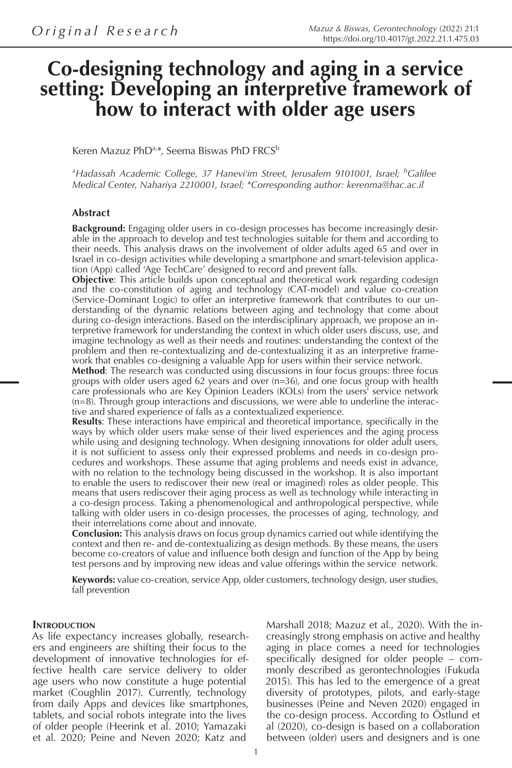# **Co-designing technology and aging in a service setting: Developing an interpretive framework of how to interact with older age users**

Keren Mazuz PhD<sup>a,\*</sup>, Seema Biswas PhD FRCS<sup>b</sup>

<sup>a</sup>Hadassah Academic College, 37 Hanevi'im Street, Jerusalem 9101001, Israel; <sup>b</sup>Galilee *Medical Center, Nahariya 2210001, Israel; \*Corresponding author: kerenma@hac.ac.il*

#### **Abstract**

**Background:** Engaging older users in co-design processes has become increasingly desirable in the approach to develop and test technologies suitable for them and according to their needs. This analysis draws on the involvement of older adults aged 65 and over in Israel in co-design activities while developing a smartphone and smart-television application (App) called 'Age TechCare' designed to record and prevent falls.

**Objective**: This article builds upon conceptual and theoretical work regarding codesign and the co-constitution of aging and technology (CAT-model) and value co-creation (Service-Dominant Logic) to offer an interpretive framework that contributes to our understanding of the dynamic relations between aging and technology that come about during co-design interactions. Based on the interdisciplinary approach, we propose an interpretive framework for understanding the context in which older users discuss, use, and imagine technology as well as their needs and routines: understanding the context of the problem and then re-contextualizing and de-contextualizing it as an interpretive framework that enables co-designing a valuable App for users within their service network.

**Method**: The research was conducted using discussions in four focus groups: three focus groups with older users aged 62 years and over (n=36), and one focus group with health care professionals who are Key Opinion Leaders (KOLs) from the users' service network  $(n=8)$ . Through group interactions and discussions, we were able to underline the interactive and shared experience of falls as a contextualized experience.

**Results**: These interactions have empirical and theoretical importance, specifically in the ways by which older users make sense of their lived experiences and the aging process while using and designing technology. When designing innovations for older adult users, it is not sufficient to assess only their expressed problems and needs in co-design procedures and workshops. These assume that aging problems and needs exist in advance, with no relation to the technology being discussed in the workshop. It is also important to enable the users to rediscover their new (real or imagined) roles as older people. This means that users rediscover their aging process as well as technology while interacting in a co-design process. Taking a phenomenological and anthropological perspective, while talking with older users in co-design processes, the processes of aging, technology, and their interrelations come about and innovate.

**Conclusion:** This analysis draws on focus group dynamics carried out while identifying the context and then re- and de-contextualizing as design methods. By these means, the users become co-creators of value and influence both design and function of the App by being test persons and by improving new ideas and value offerings within the service network.

**Keywords:** value co-creation, service App, older customers, technology design, user studies, fall prevention

#### **INTRODUCTION**

As life expectancy increases globally, researchers and engineers are shifting their focus to the development of innovative technologies for effective health care service delivery to older age users who now constitute a huge potential market (Coughlin 2017). Currently, technology from daily Apps and devices like smartphones, tablets, and social robots integrate into the lives of older people (Heerink et al. 2010; Yamazaki et al. 2020; Peine and Neven 2020; Katz and

Marshall 2018; Mazuz et al., 2020). With the increasingly strong emphasis on active and healthy aging in place comes a need for technologies specifically designed for older people – commonly described as gerontechnologies (Fukuda 2015). This has led to the emergence of a great diversity of prototypes, pilots, and early-stage businesses (Peine and Neven 2020) engaged in the co-design process. According to Östlund et al (2020), co-design is based on a collaboration between (older) users and designers and is one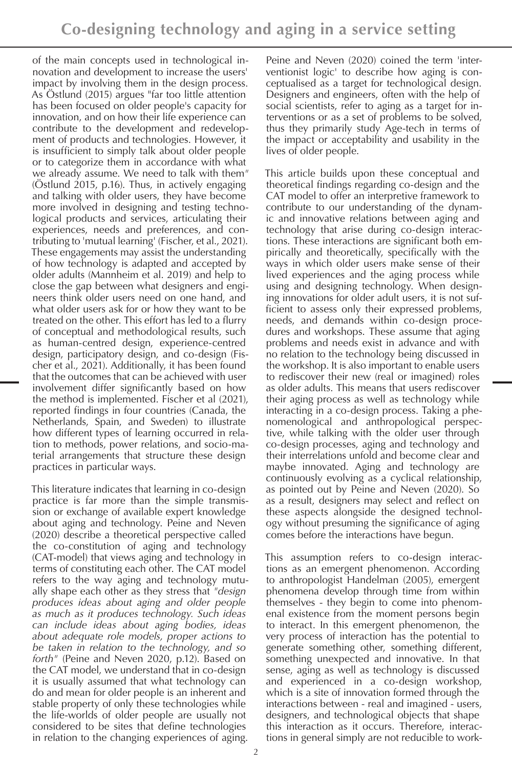of the main concepts used in technological innovation and development to increase the users' impact by involving them in the design process. As Östlund (2015) argues "far too little attention has been focused on older people's capacity for innovation, and on how their life experience can contribute to the development and redevelopment of products and technologies. However, it is insufficient to simply talk about older people or to categorize them in accordance with what we already assume. We need to talk with them*"* (Östlund 2015, p.16). Thus, in actively engaging and talking with older users, they have become more involved in designing and testing technological products and services, articulating their experiences, needs and preferences, and contributing to 'mutual learning' (Fischer, et al., 2021). These engagements may assist the understanding of how technology is adapted and accepted by older adults (Mannheim et al. 2019) and help to close the gap between what designers and engineers think older users need on one hand, and what older users ask for or how they want to be treated on the other. This effort has led to a flurry of conceptual and methodological results, such as human-centred design, experience-centred design, participatory design, and co-design (Fischer et al., 2021). Additionally, it has been found that the outcomes that can be achieved with user involvement differ significantly based on how the method is implemented. Fischer et al (2021), reported findings in four countries (Canada, the Netherlands, Spain, and Sweden) to illustrate how different types of learning occurred in relation to methods, power relations, and socio-material arrangements that structure these design practices in particular ways.

This literature indicates that learning in co-design practice is far more than the simple transmission or exchange of available expert knowledge about aging and technology. Peine and Neven (2020) describe a theoretical perspective called the co-constitution of aging and technology (CAT-model) that views aging and technology in terms of constituting each other. The CAT model refers to the way aging and technology mutually shape each other as they stress that *"design produces ideas about aging and older people as much as it produces technology. Such ideas can include ideas about aging bodies, ideas about adequate role models, proper actions to be taken in relation to the technology, and so forth"* (Peine and Neven 2020, p.12). Based on the CAT model, we understand that in co-design it is usually assumed that what technology can do and mean for older people is an inherent and stable property of only these technologies while the life-worlds of older people are usually not considered to be sites that define technologies in relation to the changing experiences of aging.

Peine and Neven (2020) coined the term 'interventionist logic' to describe how aging is conceptualised as a target for technological design. Designers and engineers, often with the help of social scientists, refer to aging as a target for interventions or as a set of problems to be solved, thus they primarily study Age-tech in terms of the impact or acceptability and usability in the lives of older people.

This article builds upon these conceptual and theoretical findings regarding co-design and the CAT model to offer an interpretive framework to contribute to our understanding of the dynamic and innovative relations between aging and technology that arise during co-design interactions. These interactions are significant both empirically and theoretically, specifically with the ways in which older users make sense of their lived experiences and the aging process while using and designing technology. When designing innovations for older adult users, it is not sufficient to assess only their expressed problems, needs, and demands within co-design procedures and workshops. These assume that aging problems and needs exist in advance and with no relation to the technology being discussed in the workshop. It is also important to enable users to rediscover their new (real or imagined) roles as older adults. This means that users rediscover their aging process as well as technology while interacting in a co-design process. Taking a phenomenological and anthropological perspective, while talking with the older user through co-design processes, aging and technology and their interrelations unfold and become clear and maybe innovated. Aging and technology are continuously evolving as a cyclical relationship, as pointed out by Peine and Neven (2020). So as a result, designers may select and reflect on these aspects alongside the designed technology without presuming the significance of aging comes before the interactions have begun.

This assumption refers to co-design interactions as an emergent phenomenon. According to anthropologist Handelman (2005), emergent phenomena develop through time from within themselves - they begin to come into phenomenal existence from the moment persons begin to interact. In this emergent phenomenon, the very process of interaction has the potential to generate something other, something different, something unexpected and innovative. In that sense, aging as well as technology is discussed and experienced in a co-design workshop, which is a site of innovation formed through the interactions between - real and imagined - users, designers, and technological objects that shape this interaction as it occurs. Therefore, interactions in general simply are not reducible to work-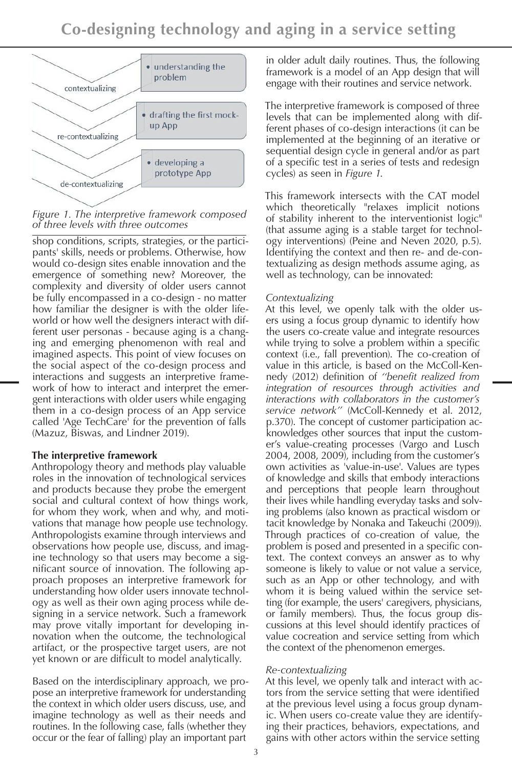

*Figure 1. The interpretive framework composed of three levels with three outcomes*

shop conditions, scripts, strategies, or the participants' skills, needs or problems. Otherwise, how would co-design sites enable innovation and the emergence of something new? Moreover, the complexity and diversity of older users cannot be fully encompassed in a co-design - no matter how familiar the designer is with the older lifeworld or how well the designers interact with different user personas - because aging is a changing and emerging phenomenon with real and imagined aspects. This point of view focuses on the social aspect of the co-design process and interactions and suggests an interpretive framework of how to interact and interpret the emergent interactions with older users while engaging them in a co-design process of an App service called 'Age TechCare' for the prevention of falls (Mazuz, Biswas, and Lindner 2019).

### **The interpretive framework**

Anthropology theory and methods play valuable roles in the innovation of technological services and products because they probe the emergent social and cultural context of how things work, for whom they work, when and why, and motivations that manage how people use technology. Anthropologists examine through interviews and observations how people use, discuss, and imagine technology so that users may become a significant source of innovation. The following approach proposes an interpretive framework for understanding how older users innovate technology as well as their own aging process while designing in a service network. Such a framework may prove vitally important for developing innovation when the outcome, the technological artifact, or the prospective target users, are not yet known or are difficult to model analytically.

Based on the interdisciplinary approach, we propose an interpretive framework for understanding the context in which older users discuss, use, and imagine technology as well as their needs and routines. In the following case, falls (whether they occur or the fear of falling) play an important part

in older adult daily routines. Thus, the following framework is a model of an App design that will engage with their routines and service network.

The interpretive framework is composed of three levels that can be implemented along with different phases of co-design interactions (it can be implemented at the beginning of an iterative or sequential design cycle in general and/or as part of a specific test in a series of tests and redesign cycles) as seen in *Figure 1*.

This framework intersects with the CAT model which theoretically "relaxes implicit notions of stability inherent to the interventionist logic" (that assume aging is a stable target for technology interventions) (Peine and Neven 2020, p.5). Identifying the context and then re- and de-contextualizing as design methods assume aging, as well as technology, can be innovated:

## *Contextualizing*

At this level, we openly talk with the older users using a focus group dynamic to identify how the users co-create value and integrate resources while trying to solve a problem within a specific context (i.e., fall prevention). The co-creation of value in this article, is based on the McColl-Kennedy (2012) definition of *''benefit realized from integration of resources through activities and interactions with collaborators in the customer's service network''* (McColl-Kennedy et al. 2012, p.370). The concept of customer participation acknowledges other sources that input the customer's value-creating processes (Vargo and Lusch 2004, 2008, 2009), including from the customer's own activities as 'value-in-use'. Values are types of knowledge and skills that embody interactions and perceptions that people learn throughout their lives while handling everyday tasks and solving problems (also known as practical wisdom or tacit knowledge by Nonaka and Takeuchi (2009)). Through practices of co-creation of value, the problem is posed and presented in a specific context. The context conveys an answer as to why someone is likely to value or not value a service, such as an App or other technology, and with whom it is being valued within the service setting (for example, the users' caregivers, physicians, or family members). Thus, the focus group discussions at this level should identify practices of value cocreation and service setting from which the context of the phenomenon emerges.

### *Re-contextualizing*

At this level, we openly talk and interact with actors from the service setting that were identified at the previous level using a focus group dynamic. When users co-create value they are identifying their practices, behaviors, expectations, and gains with other actors within the service setting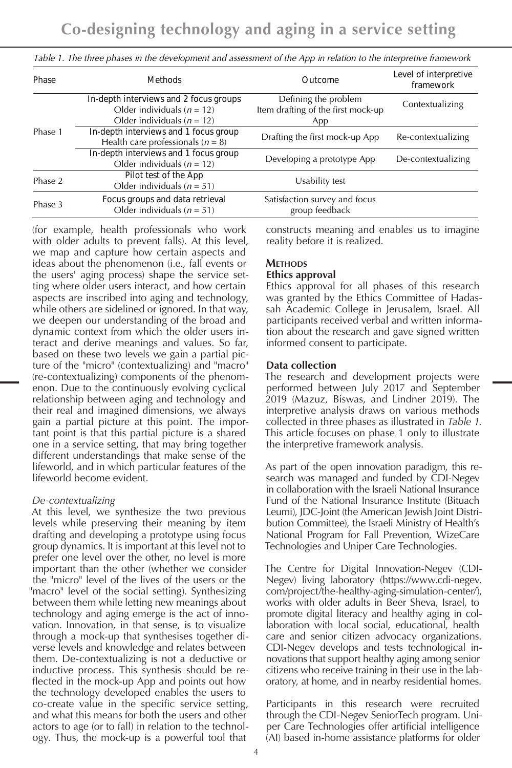| Phase   | <b>Methods</b>                                                                                             | Outcome                                                           | Level of interpretive<br>framework |
|---------|------------------------------------------------------------------------------------------------------------|-------------------------------------------------------------------|------------------------------------|
|         | In-depth interviews and 2 focus groups<br>Older individuals ( $n = 12$ )<br>Older individuals ( $n = 12$ ) | Defining the problem<br>Item drafting of the first mock-up<br>App | Contextualizing                    |
| Phase 1 | In-depth interviews and 1 focus group<br>Health care professionals ( $n = 8$ )                             | Drafting the first mock-up App                                    |                                    |
|         | In-depth interviews and 1 focus group<br>Older individuals ( $n = 12$ )                                    | Developing a prototype App                                        | De-contextualizing                 |
| Phase 2 | Pilot test of the App<br>Older individuals ( $n = 51$ )                                                    | Usability test                                                    |                                    |
| Phase 3 | Focus groups and data retrieval<br>Older individuals ( $n = 51$ )                                          | Satisfaction survey and focus<br>group feedback                   |                                    |

Table 1. The three phases in the development and assessment of the App in relation to the interpretive framework

(for example, health professionals who work with older adults to prevent falls). At this level, we map and capture how certain aspects and ideas about the phenomenon (i.e., fall events or the users' aging process) shape the service setting where older users interact, and how certain aspects are inscribed into aging and technology, while others are sidelined or ignored. In that way, we deepen our understanding of the broad and dynamic context from which the older users interact and derive meanings and values. So far, based on these two levels we gain a partial picture of the "micro" (contextualizing) and "macro" (re-contextualizing) components of the phenomenon. Due to the continuously evolving cyclical relationship between aging and technology and their real and imagined dimensions, we always gain a partial picture at this point. The important point is that this partial picture is a shared one in a service setting, that may bring together different understandings that make sense of the lifeworld, and in which particular features of the lifeworld become evident.

#### *De-contextualizing*

At this level, we synthesize the two previous levels while preserving their meaning by item drafting and developing a prototype using focus group dynamics. It is important at this level not to prefer one level over the other, no level is more important than the other (whether we consider the "micro" level of the lives of the users or the "macro" level of the social setting). Synthesizing between them while letting new meanings about technology and aging emerge is the act of innovation. Innovation, in that sense, is to visualize through a mock-up that synthesises together diverse levels and knowledge and relates between them. De-contextualizing is not a deductive or inductive process. This synthesis should be reflected in the mock-up App and points out how the technology developed enables the users to co-create value in the specific service setting, and what this means for both the users and other actors to age (or to fall) in relation to the technology. Thus, the mock-up is a powerful tool that

constructs meaning and enables us to imagine reality before it is realized.

# **Methods**

#### **Ethics approval**

Ethics approval for all phases of this research was granted by the Ethics Committee of Hadassah Academic College in Jerusalem, Israel. All participants received verbal and written information about the research and gave signed written informed consent to participate.

### **Data collection**

The research and development projects were performed between July 2017 and September 2019 (Mazuz, Biswas, and Lindner 2019). The interpretive analysis draws on various methods collected in three phases as illustrated in *Table 1*. This article focuses on phase 1 only to illustrate the interpretive framework analysis.

As part of the open innovation paradigm, this research was managed and funded by CDI-Negev in collaboration with the Israeli National Insurance Fund of the National Insurance Institute (Bituach Leumi), JDC-Joint (the American Jewish Joint Distribution Committee), the Israeli Ministry of Health's National Program for Fall Prevention, WizeCare Technologies and Uniper Care Technologies.

The Centre for Digital Innovation-Negev (CDI-Negev) living laboratory (https://www.cdi-negev. com/project/the-healthy-aging-simulation-center/), works with older adults in Beer Sheva, Israel, to promote digital literacy and healthy aging in collaboration with local social, educational, health care and senior citizen advocacy organizations. CDI-Negev develops and tests technological innovations that support healthy aging among senior citizens who receive training in their use in the laboratory, at home, and in nearby residential homes.

Participants in this research were recruited through the CDI-Negev SeniorTech program. Uniper Care Technologies offer artificial intelligence (AI) based in-home assistance platforms for older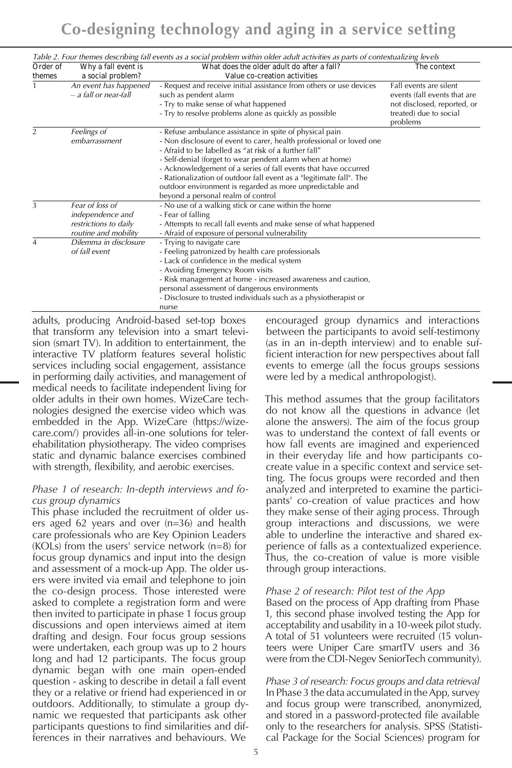|                |                                                                                      | Table 2. Four themes describing fall events as a social problem within older adult activities as parts of contextualizing levels                                                                                                                                                                                                                                                                                                                                                                    |                                                                                                                             |
|----------------|--------------------------------------------------------------------------------------|-----------------------------------------------------------------------------------------------------------------------------------------------------------------------------------------------------------------------------------------------------------------------------------------------------------------------------------------------------------------------------------------------------------------------------------------------------------------------------------------------------|-----------------------------------------------------------------------------------------------------------------------------|
| Order of       | Why a fall event is                                                                  | What does the older adult do after a fall?                                                                                                                                                                                                                                                                                                                                                                                                                                                          | The context                                                                                                                 |
| themes         | a social problem?                                                                    | Value co-creation activities                                                                                                                                                                                                                                                                                                                                                                                                                                                                        |                                                                                                                             |
| $\mathbf{1}$   | An event has happened<br>$-$ a fall or near-fall                                     | - Request and receive initial assistance from others or use devices<br>such as pendent alarm<br>- Try to make sense of what happened<br>- Try to resolve problems alone as quickly as possible                                                                                                                                                                                                                                                                                                      | Fall events are silent<br>events (fall events that are<br>not disclosed, reported, or<br>treated) due to social<br>problems |
| $\overline{2}$ | Feelings of<br>embarrassment                                                         | - Refuse ambulance assistance in spite of physical pain<br>- Non disclosure of event to carer, health professional or loved one<br>- Afraid to be labelled as "at risk of a further fall"<br>- Self-denial (forget to wear pendent alarm when at home)<br>- Acknowledgement of a series of fall events that have occurred<br>- Rationalization of outdoor fall event as a "legitimate fall". The<br>outdoor environment is regarded as more unpredictable and<br>beyond a personal realm of control |                                                                                                                             |
| 3              | Fear of loss of<br>independence and<br>restrictions to daily<br>routine and mobility | - No use of a walking stick or cane within the home<br>- Fear of falling<br>- Attempts to recall fall events and make sense of what happened<br>- Afraid of exposure of personal vulnerability                                                                                                                                                                                                                                                                                                      |                                                                                                                             |
| $\overline{4}$ | Dilemma in disclosure<br>of fall event                                               | - Trying to navigate care<br>- Feeling patronized by health care professionals<br>- Lack of confidence in the medical system<br>- Avoiding Emergency Room visits<br>- Risk management at home - increased awareness and caution,<br>personal assessment of dangerous environments<br>- Disclosure to trusted individuals such as a physiotherapist or<br>nurse                                                                                                                                      |                                                                                                                             |

adults, producing Android-based set-top boxes that transform any television into a smart television (smart TV). In addition to entertainment, the interactive TV platform features several holistic services including social engagement, assistance in performing daily activities, and management of medical needs to facilitate independent living for older adults in their own homes. WizeCare technologies designed the exercise video which was embedded in the App. WizeCare (https://wizecare.com/) provides all-in-one solutions for telerehabilitation physiotherapy. The video comprises static and dynamic balance exercises combined with strength, flexibility, and aerobic exercises.

#### *Phase 1 of research: In-depth interviews and focus group dynamics*

This phase included the recruitment of older users aged 62 years and over (n=36) and health care professionals who are Key Opinion Leaders (KOLs) from the users' service network (n=8) for focus group dynamics and input into the design and assessment of a mock-up App. The older users were invited via email and telephone to join the co-design process. Those interested were asked to complete a registration form and were then invited to participate in phase 1 focus group discussions and open interviews aimed at item drafting and design. Four focus group sessions were undertaken, each group was up to 2 hours long and had 12 participants. The focus group dynamic began with one main open-ended question - asking to describe in detail a fall event they or a relative or friend had experienced in or outdoors. Additionally, to stimulate a group dynamic we requested that participants ask other participants questions to find similarities and differences in their narratives and behaviours. We

encouraged group dynamics and interactions between the participants to avoid self-testimony (as in an in-depth interview) and to enable sufficient interaction for new perspectives about fall events to emerge (all the focus groups sessions were led by a medical anthropologist).

This method assumes that the group facilitators do not know all the questions in advance (let alone the answers). The aim of the focus group was to understand the context of fall events or how fall events are imagined and experienced in their everyday life and how participants cocreate value in a specific context and service setting. The focus groups were recorded and then analyzed and interpreted to examine the participants' co-creation of value practices and how they make sense of their aging process. Through group interactions and discussions, we were able to underline the interactive and shared experience of falls as a contextualized experience. Thus, the co-creation of value is more visible through group interactions.

### *Phase 2 of research: Pilot test of the App*

Based on the process of App drafting from Phase 1, this second phase involved testing the App for acceptability and usability in a 10-week pilot study. A total of 51 volunteers were recruited (15 volunteers were Uniper Care smartTV users and 36 were from the CDI-Negev SeniorTech community).

*Phase 3 of research: Focus groups and data retrieval* In Phase 3 the data accumulated in the App, survey and focus group were transcribed, anonymized, and stored in a password-protected file available only to the researchers for analysis. SPSS (Statistical Package for the Social Sciences) program for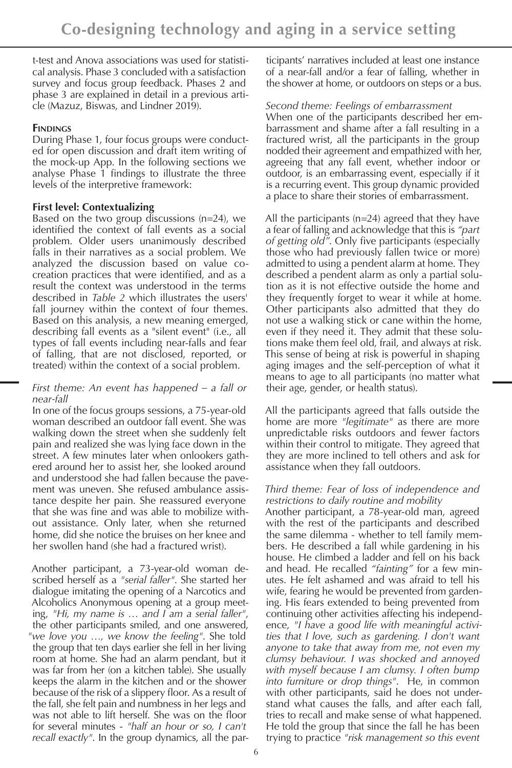t-test and Anova associations was used for statistical analysis. Phase 3 concluded with a satisfaction survey and focus group feedback. Phases 2 and phase 3 are explained in detail in a previous article (Mazuz, Biswas, and Lindner 2019).

# **FINDINGS**

During Phase 1, four focus groups were conducted for open discussion and draft item writing of the mock-up App. In the following sections we analyse Phase 1 findings to illustrate the three levels of the interpretive framework:

# **First level: Contextualizing**

Based on the two group discussions (n=24), we identified the context of fall events as a social problem. Older users unanimously described falls in their narratives as a social problem. We analyzed the discussion based on value cocreation practices that were identified, and as a result the context was understood in the terms described in *Table 2* which illustrates the users' fall journey within the context of four themes. Based on this analysis, a new meaning emerged, describing fall events as a "silent event" (i.e., all types of fall events including near-falls and fear of falling, that are not disclosed, reported, or treated) within the context of a social problem.

## *First theme: An event has happened – a fall or near-fall*

In one of the focus groups sessions, a 75-year-old woman described an outdoor fall event. She was walking down the street when she suddenly felt pain and realized she was lying face down in the street. A few minutes later when onlookers gathered around her to assist her, she looked around and understood she had fallen because the pavement was uneven. She refused ambulance assistance despite her pain. She reassured everyone that she was fine and was able to mobilize without assistance. Only later, when she returned home, did she notice the bruises on her knee and her swollen hand (she had a fractured wrist).

Another participant, a 73-year-old woman described herself as a *"serial faller"*. She started her dialogue imitating the opening of a Narcotics and Alcoholics Anonymous opening at a group meeting, *"Hi, my name is … and I am a serial faller"*, the other participants smiled, and one answered, *"we love you …, we know the feeling"*. She told the group that ten days earlier she fell in her living room at home. She had an alarm pendant, but it was far from her (on a kitchen table). She usually keeps the alarm in the kitchen and or the shower because of the risk of a slippery floor. As a result of the fall, she felt pain and numbness in her legs and was not able to lift herself. She was on the floor for several minutes - *"half an hour or so, I can't recall exactly"*. In the group dynamics, all the par-

ticipants' narratives included at least one instance of a near-fall and/or a fear of falling, whether in the shower at home, or outdoors on steps or a bus.

# *Second theme: Feelings of embarrassment*

When one of the participants described her embarrassment and shame after a fall resulting in a fractured wrist, all the participants in the group nodded their agreement and empathized with her, agreeing that any fall event, whether indoor or outdoor, is an embarrassing event, especially if it is a recurring event. This group dynamic provided a place to share their stories of embarrassment.

All the participants (n=24) agreed that they have a fear of falling and acknowledge that this is *"part of getting old"*. Only five participants (especially those who had previously fallen twice or more) admitted to using a pendent alarm at home. They described a pendent alarm as only a partial solution as it is not effective outside the home and they frequently forget to wear it while at home. Other participants also admitted that they do not use a walking stick or cane within the home, even if they need it. They admit that these solutions make them feel old, frail, and always at risk. This sense of being at risk is powerful in shaping aging images and the self-perception of what it means to age to all participants (no matter what their age, gender, or health status).

All the participants agreed that falls outside the home are more *"legitimate"* as there are more unpredictable risks outdoors and fewer factors within their control to mitigate. They agreed that they are more inclined to tell others and ask for assistance when they fall outdoors.

### *Third theme: Fear of loss of independence and restrictions to daily routine and mobility*

Another participant, a 78-year-old man, agreed with the rest of the participants and described the same dilemma - whether to tell family members. He described a fall while gardening in his house. He climbed a ladder and fell on his back and head. He recalled *"fainting"* for a few minutes. He felt ashamed and was afraid to tell his wife, fearing he would be prevented from gardening. His fears extended to being prevented from continuing other activities affecting his independence, *"I have a good life with meaningful activities that I love, such as gardening. I don't want anyone to take that away from me, not even my clumsy behaviour. I was shocked and annoyed with myself because I am clumsy. I often bump into furniture or drop things"*. He, in common with other participants, said he does not understand what causes the falls, and after each fall, tries to recall and make sense of what happened. He told the group that since the fall he has been trying to practice *"risk management so this event*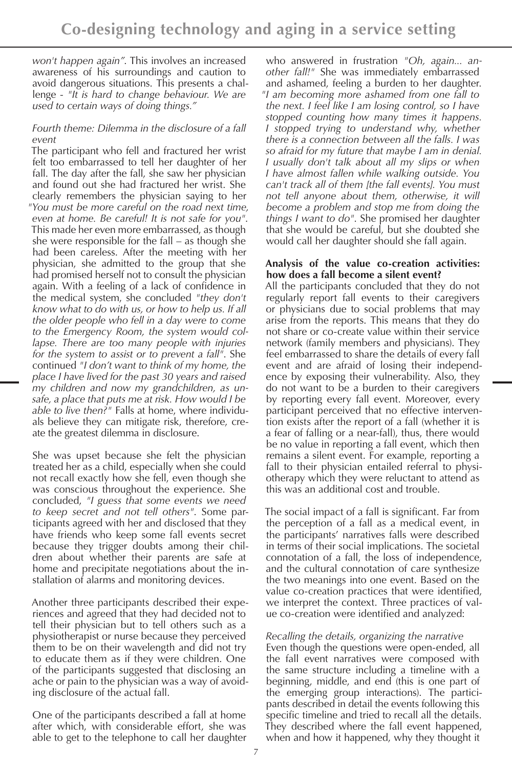*won't happen again"*. This involves an increased awareness of his surroundings and caution to avoid dangerous situations. This presents a challenge - *"It is hard to change behaviour. We are used to certain ways of doing things."*

## *Fourth theme: Dilemma in the disclosure of a fall event*

The participant who fell and fractured her wrist felt too embarrassed to tell her daughter of her fall. The day after the fall, she saw her physician and found out she had fractured her wrist. She clearly remembers the physician saying to her *"You must be more careful on the road next time, even at home. Be careful! It is not safe for you"*. This made her even more embarrassed, as though she were responsible for the fall – as though she had been careless. After the meeting with her physician, she admitted to the group that she had promised herself not to consult the physician again. With a feeling of a lack of confidence in the medical system, she concluded *"they don't know what to do with us, or how to help us. If all the older people who fell in a day were to come to the Emergency Room, the system would collapse. There are too many people with injuries for the system to assist or to prevent a fall"*. She continued *"I don't want to think of my home, the place I have lived for the past 30 years and raised my children and now my grandchildren, as unsafe, a place that puts me at risk. How would I be able to live then?"* Falls at home, where individuals believe they can mitigate risk, therefore, create the greatest dilemma in disclosure.

She was upset because she felt the physician treated her as a child, especially when she could not recall exactly how she fell, even though she was conscious throughout the experience. She concluded, *"I guess that some events we need to keep secret and not tell others"*. Some participants agreed with her and disclosed that they have friends who keep some fall events secret because they trigger doubts among their children about whether their parents are safe at home and precipitate negotiations about the installation of alarms and monitoring devices.

Another three participants described their experiences and agreed that they had decided not to tell their physician but to tell others such as a physiotherapist or nurse because they perceived them to be on their wavelength and did not try to educate them as if they were children. One of the participants suggested that disclosing an ache or pain to the physician was a way of avoiding disclosure of the actual fall.

One of the participants described a fall at home after which, with considerable effort, she was able to get to the telephone to call her daughter

who answered in frustration *"Oh, again... another fall!"* She was immediately embarrassed and ashamed, feeling a burden to her daughter. *"I am becoming more ashamed from one fall to the next. I feel like I am losing control, so I have stopped counting how many times it happens. I stopped trying to understand why, whether there is a connection between all the falls. I was so afraid for my future that maybe I am in denial. I usually don't talk about all my slips or when I have almost fallen while walking outside. You can't track all of them [the fall events]. You must not tell anyone about them, otherwise, it will become a problem and stop me from doing the things I want to do"*. She promised her daughter that she would be careful, but she doubted she would call her daughter should she fall again.

#### **Analysis of the value co-creation activities: how does a fall become a silent event?**

All the participants concluded that they do not regularly report fall events to their caregivers or physicians due to social problems that may arise from the reports. This means that they do not share or co-create value within their service network (family members and physicians). They feel embarrassed to share the details of every fall event and are afraid of losing their independence by exposing their vulnerability. Also, they do not want to be a burden to their caregivers by reporting every fall event. Moreover, every participant perceived that no effective intervention exists after the report of a fall (whether it is a fear of falling or a near-fall), thus, there would be no value in reporting a fall event, which then remains a silent event. For example, reporting a fall to their physician entailed referral to physiotherapy which they were reluctant to attend as this was an additional cost and trouble.

The social impact of a fall is significant. Far from the perception of a fall as a medical event, in the participants' narratives falls were described in terms of their social implications. The societal connotation of a fall, the loss of independence, and the cultural connotation of care synthesize the two meanings into one event. Based on the value co-creation practices that were identified, we interpret the context. Three practices of value co-creation were identified and analyzed:

### *Recalling the details, organizing the narrative*

Even though the questions were open-ended, all the fall event narratives were composed with the same structure including a timeline with a beginning, middle, and end (this is one part of the emerging group interactions). The participants described in detail the events following this specific timeline and tried to recall all the details. They described where the fall event happened, when and how it happened, why they thought it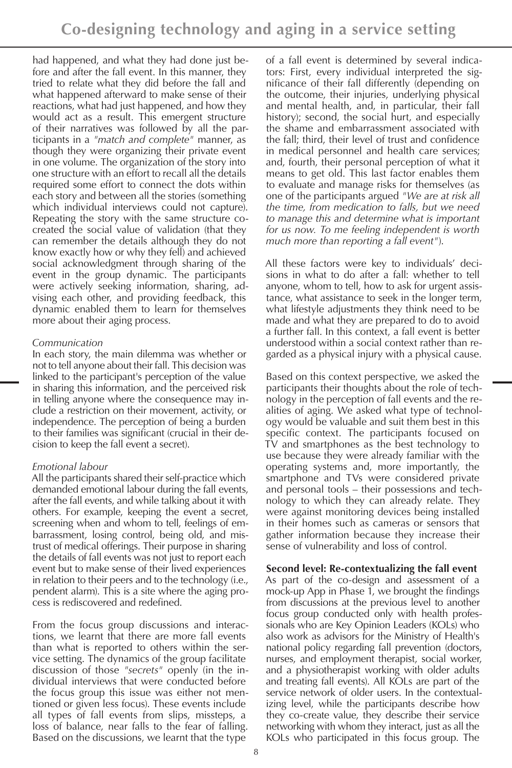had happened, and what they had done just before and after the fall event. In this manner, they tried to relate what they did before the fall and what happened afterward to make sense of their reactions, what had just happened, and how they would act as a result. This emergent structure of their narratives was followed by all the participants in a *"match and complete"* manner, as though they were organizing their private event in one volume. The organization of the story into one structure with an effort to recall all the details required some effort to connect the dots within each story and between all the stories (something which individual interviews could not capture). Repeating the story with the same structure cocreated the social value of validation (that they can remember the details although they do not know exactly how or why they fell) and achieved social acknowledgment through sharing of the event in the group dynamic. The participants were actively seeking information, sharing, advising each other, and providing feedback, this dynamic enabled them to learn for themselves more about their aging process.

### *Communication*

In each story, the main dilemma was whether or not to tell anyone about their fall. This decision was linked to the participant's perception of the value in sharing this information, and the perceived risk in telling anyone where the consequence may include a restriction on their movement, activity, or independence. The perception of being a burden to their families was significant (crucial in their decision to keep the fall event a secret).

### *Emotional labour*

All the participants shared their self-practice which demanded emotional labour during the fall events, after the fall events, and while talking about it with others. For example, keeping the event a secret, screening when and whom to tell, feelings of embarrassment, losing control, being old, and mistrust of medical offerings. Their purpose in sharing the details of fall events was not just to report each event but to make sense of their lived experiences in relation to their peers and to the technology (i.e., pendent alarm). This is a site where the aging process is rediscovered and redefined.

From the focus group discussions and interactions, we learnt that there are more fall events than what is reported to others within the service setting. The dynamics of the group facilitate discussion of those *"secrets"* openly (in the individual interviews that were conducted before the focus group this issue was either not mentioned or given less focus). These events include all types of fall events from slips, missteps, a loss of balance, near falls to the fear of falling. Based on the discussions, we learnt that the type

of a fall event is determined by several indicators: First, every individual interpreted the significance of their fall differently (depending on the outcome, their injuries, underlying physical and mental health, and, in particular, their fall history); second, the social hurt, and especially the shame and embarrassment associated with the fall; third, their level of trust and confidence in medical personnel and health care services; and, fourth, their personal perception of what it means to get old. This last factor enables them to evaluate and manage risks for themselves (as one of the participants argued *"We are at risk all the time, from medication to falls, but we need to manage this and determine what is important for us now. To me feeling independent is worth much more than reporting a fall event"*).

All these factors were key to individuals' decisions in what to do after a fall: whether to tell anyone, whom to tell, how to ask for urgent assistance, what assistance to seek in the longer term, what lifestyle adjustments they think need to be made and what they are prepared to do to avoid a further fall. In this context, a fall event is better understood within a social context rather than regarded as a physical injury with a physical cause.

Based on this context perspective, we asked the participants their thoughts about the role of technology in the perception of fall events and the realities of aging. We asked what type of technology would be valuable and suit them best in this specific context. The participants focused on TV and smartphones as the best technology to use because they were already familiar with the operating systems and, more importantly, the smartphone and TVs were considered private and personal tools – their possessions and technology to which they can already relate. They were against monitoring devices being installed in their homes such as cameras or sensors that gather information because they increase their sense of vulnerability and loss of control.

### **Second level: Re-contextualizing the fall event**

As part of the co-design and assessment of a mock-up App in Phase 1, we brought the findings from discussions at the previous level to another focus group conducted only with health professionals who are Key Opinion Leaders (KOLs) who also work as advisors for the Ministry of Health's national policy regarding fall prevention (doctors, nurses, and employment therapist, social worker, and a physiotherapist working with older adults and treating fall events). All KOLs are part of the service network of older users. In the contextualizing level, while the participants describe how they co-create value, they describe their service networking with whom they interact, just as all the KOLs who participated in this focus group. The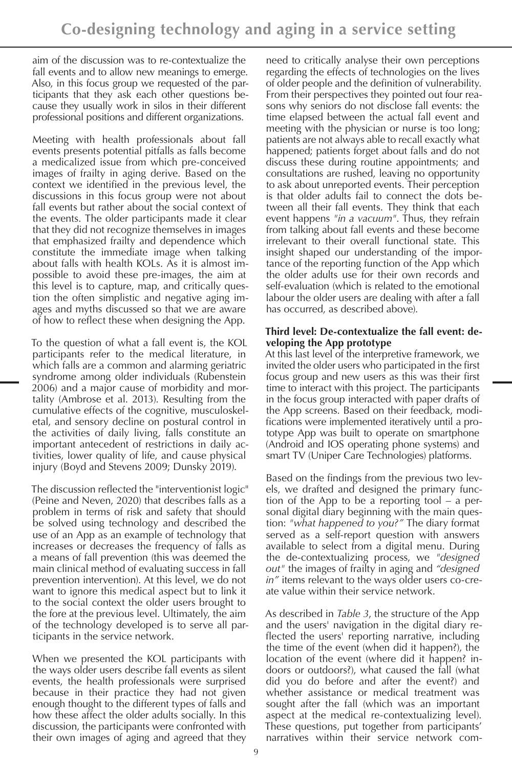aim of the discussion was to re-contextualize the fall events and to allow new meanings to emerge. Also, in this focus group we requested of the participants that they ask each other questions because they usually work in silos in their different professional positions and different organizations.

Meeting with health professionals about fall events presents potential pitfalls as falls become a medicalized issue from which pre-conceived images of frailty in aging derive. Based on the context we identified in the previous level, the discussions in this focus group were not about fall events but rather about the social context of the events. The older participants made it clear that they did not recognize themselves in images that emphasized frailty and dependence which constitute the immediate image when talking about falls with health KOLs. As it is almost impossible to avoid these pre-images, the aim at this level is to capture, map, and critically question the often simplistic and negative aging images and myths discussed so that we are aware of how to reflect these when designing the App.

To the question of what a fall event is, the KOL participants refer to the medical literature, in which falls are a common and alarming geriatric syndrome among older individuals (Rubenstein 2006) and a major cause of morbidity and mortality (Ambrose et al. 2013). Resulting from the cumulative effects of the cognitive, musculoskeletal, and sensory decline on postural control in the activities of daily living, falls constitute an important antecedent of restrictions in daily activities, lower quality of life, and cause physical injury (Boyd and Stevens 2009; Dunsky 2019).

The discussion reflected the "interventionist logic" (Peine and Neven, 2020) that describes falls as a problem in terms of risk and safety that should be solved using technology and described the use of an App as an example of technology that increases or decreases the frequency of falls as a means of fall prevention (this was deemed the main clinical method of evaluating success in fall prevention intervention). At this level, we do not want to ignore this medical aspect but to link it to the social context the older users brought to the fore at the previous level. Ultimately, the aim of the technology developed is to serve all participants in the service network.

When we presented the KOL participants with the ways older users describe fall events as silent events, the health professionals were surprised because in their practice they had not given enough thought to the different types of falls and how these affect the older adults socially. In this discussion, the participants were confronted with their own images of aging and agreed that they

need to critically analyse their own perceptions regarding the effects of technologies on the lives of older people and the definition of vulnerability. From their perspectives they pointed out four reasons why seniors do not disclose fall events: the time elapsed between the actual fall event and meeting with the physician or nurse is too long; patients are not always able to recall exactly what happened; patients forget about falls and do not discuss these during routine appointments; and consultations are rushed, leaving no opportunity to ask about unreported events. Their perception is that older adults fail to connect the dots between all their fall events. They think that each event happens *"in a vacuum"*. Thus, they refrain from talking about fall events and these become irrelevant to their overall functional state. This insight shaped our understanding of the importance of the reporting function of the App which the older adults use for their own records and self-evaluation (which is related to the emotional labour the older users are dealing with after a fall has occurred, as described above).

## **Third level: De-contextualize the fall event: developing the App prototype**

At this last level of the interpretive framework, we invited the older users who participated in the first focus group and new users as this was their first time to interact with this project. The participants in the focus group interacted with paper drafts of the App screens. Based on their feedback, modifications were implemented iteratively until a prototype App was built to operate on smartphone (Android and IOS operating phone systems) and smart TV (Uniper Care Technologies) platforms.

Based on the findings from the previous two levels, we drafted and designed the primary function of the App to be a reporting tool – a personal digital diary beginning with the main question: *"what happened to you?"* The diary format served as a self-report question with answers available to select from a digital menu. During the de-contextualizing process, we *"designed out"* the images of frailty in aging and *"designed in"* items relevant to the ways older users co-create value within their service network.

As described in *Table 3*, the structure of the App and the users' navigation in the digital diary reflected the users' reporting narrative, including the time of the event (when did it happen?), the location of the event (where did it happen? indoors or outdoors?), what caused the fall (what did you do before and after the event?) and whether assistance or medical treatment was sought after the fall (which was an important aspect at the medical re-contextualizing level). These questions, put together from participants' narratives within their service network com-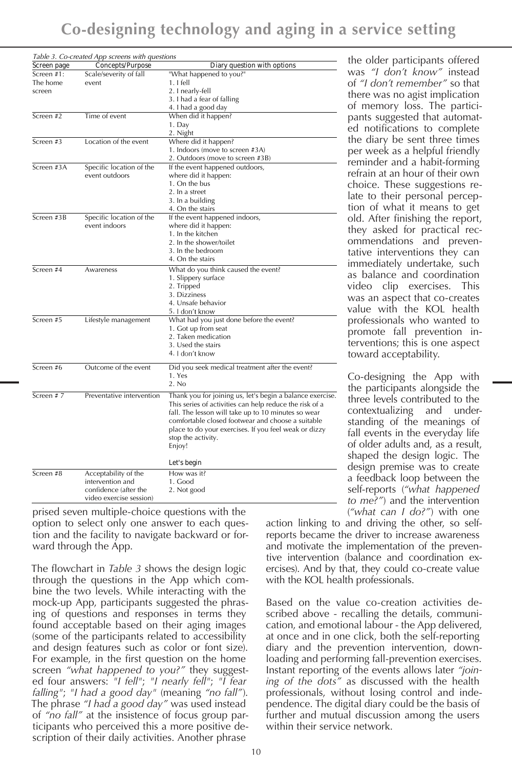|             | Table 3. Co-created App screens with questions |                                                           |
|-------------|------------------------------------------------|-----------------------------------------------------------|
| Screen page | Concepts/Purpose                               | Diary question with options                               |
| Screen #1:  | Scale/severity of fall                         | "What happened to you?"                                   |
| The home    | event                                          | $1.1$ fell                                                |
| screen      |                                                | 2. I nearly-fell                                          |
|             |                                                | 3. I had a fear of falling                                |
|             |                                                | 4. I had a good day                                       |
| Screen #2   | Time of event                                  | When did it happen?                                       |
|             |                                                | 1. Day                                                    |
|             |                                                | 2. Night                                                  |
| Screen #3   | Location of the event                          | Where did it happen?                                      |
|             |                                                | 1. Indoors (move to screen #3A)                           |
|             |                                                | 2. Outdoors (move to screen #3B)                          |
| Screen #3A  | Specific location of the                       | If the event happened outdoors,                           |
|             | event outdoors                                 | where did it happen:                                      |
|             |                                                | 1. On the bus                                             |
|             |                                                | 2. In a street                                            |
|             |                                                | 3. In a building                                          |
|             |                                                | 4. On the stairs                                          |
| Screen #3B  | Specific location of the                       | If the event happened indoors,                            |
|             | event indoors                                  | where did it happen:                                      |
|             |                                                | 1. In the kitchen                                         |
|             |                                                | 2. In the shower/toilet                                   |
|             |                                                | 3. In the bedroom                                         |
|             |                                                | 4. On the stairs                                          |
| Screen #4   | Awareness                                      | What do you think caused the event?                       |
|             |                                                | 1. Slippery surface                                       |
|             |                                                | 2. Tripped                                                |
|             |                                                | 3. Dizziness                                              |
|             |                                                | 4. Unsafe behavior                                        |
|             |                                                | 5. I don't know                                           |
| Screen #5   | Lifestyle management                           | What had you just done before the event?                  |
|             |                                                | 1. Got up from seat                                       |
|             |                                                | 2. Taken medication                                       |
|             |                                                | 3. Used the stairs                                        |
|             |                                                | 4. I don't know                                           |
| Screen #6   |                                                |                                                           |
|             | Outcome of the event                           | Did you seek medical treatment after the event?<br>1. Yes |
|             |                                                | 2. No                                                     |
|             |                                                |                                                           |
| Screen #7   | Preventative intervention                      | Thank you for joining us, let's begin a balance exercise. |
|             |                                                | This series of activities can help reduce the risk of a   |
|             |                                                | fall. The lesson will take up to 10 minutes so wear       |
|             |                                                | comfortable closed footwear and choose a suitable         |
|             |                                                | place to do your exercises. If you feel weak or dizzy     |
|             |                                                | stop the activity.                                        |
|             |                                                | Enjoy!                                                    |
|             |                                                | Let's begin                                               |
| Screen #8   | Acceptability of the                           | How was it?                                               |
|             | intervention and                               | 1. Good                                                   |
|             | confidence (after the                          | 2. Not good                                               |
|             | video exercise session)                        |                                                           |

prised seven multiple-choice questions with the option to select only one answer to each question and the facility to navigate backward or forward through the App.

The flowchart in *Table 3* shows the design logic through the questions in the App which combine the two levels. While interacting with the mock-up App, participants suggested the phrasing of questions and responses in terms they found acceptable based on their aging images (some of the participants related to accessibility and design features such as color or font size). For example, in the first question on the home screen *"what happened to you?"* they suggested four answers: *"I fell"*; *"I nearly fell"*; *"I fear falling"*; *"I had a good day"* (meaning *"no fall"*). The phrase *"I had a good day"* was used instead of *"no fall"* at the insistence of focus group participants who perceived this a more positive description of their daily activities. Another phrase

the older participants offered was *"I don't know"* instead of *"I don't remember"* so that there was no agist implication of memory loss. The participants suggested that automated notifications to complete the diary be sent three times per week as a helpful friendly reminder and a habit-forming refrain at an hour of their own choice. These suggestions relate to their personal perception of what it means to get old. After finishing the report, they asked for practical recommendations and preventative interventions they can immediately undertake, such as balance and coordination video clip exercises. This was an aspect that co-creates value with the KOL health professionals who wanted to promote fall prevention interventions; this is one aspect toward acceptability.

Co-designing the App with the participants alongside the three levels contributed to the contextualizing and understanding of the meanings of fall events in the everyday life of older adults and, as a result, shaped the design logic. The design premise was to create a feedback loop between the self-reports (*"what happened to me?"*) and the intervention (*"what can I do?"*) with one

action linking to and driving the other, so selfreports became the driver to increase awareness and motivate the implementation of the preventive intervention (balance and coordination exercises). And by that, they could co-create value with the KOL health professionals.

Based on the value co-creation activities described above - recalling the details, communication, and emotional labour - the App delivered, at once and in one click, both the self-reporting diary and the prevention intervention, downloading and performing fall-prevention exercises. Instant reporting of the events allows later *"joining of the dots"* as discussed with the health professionals, without losing control and independence. The digital diary could be the basis of further and mutual discussion among the users within their service network.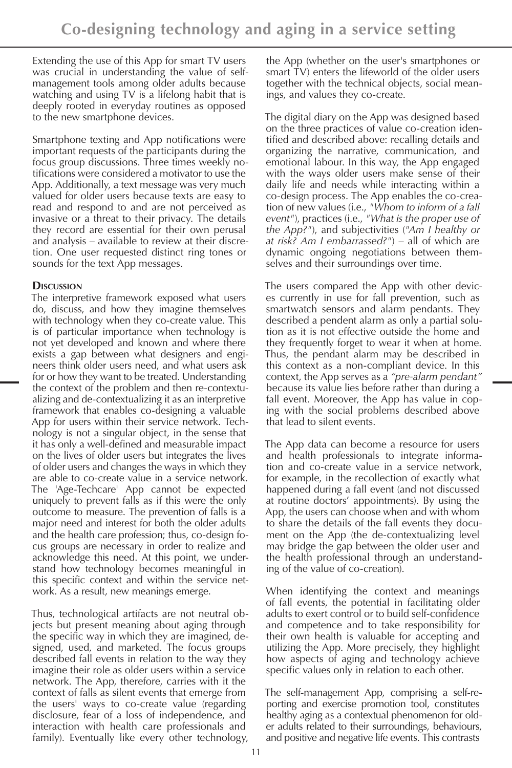Extending the use of this App for smart TV users was crucial in understanding the value of selfmanagement tools among older adults because watching and using TV is a lifelong habit that is deeply rooted in everyday routines as opposed to the new smartphone devices.

Smartphone texting and App notifications were important requests of the participants during the focus group discussions. Three times weekly notifications were considered a motivator to use the App. Additionally, a text message was very much valued for older users because texts are easy to read and respond to and are not perceived as invasive or a threat to their privacy. The details they record are essential for their own perusal and analysis – available to review at their discretion. One user requested distinct ring tones or sounds for the text App messages.

## **Discussion**

The interpretive framework exposed what users do, discuss, and how they imagine themselves with technology when they co-create value. This is of particular importance when technology is not yet developed and known and where there exists a gap between what designers and engineers think older users need, and what users ask for or how they want to be treated. Understanding the context of the problem and then re-contextualizing and de-contextualizing it as an interpretive framework that enables co-designing a valuable App for users within their service network. Technology is not a singular object, in the sense that it has only a well-defined and measurable impact on the lives of older users but integrates the lives of older users and changes the ways in which they are able to co-create value in a service network. The 'Age-Techcare' App cannot be expected uniquely to prevent falls as if this were the only outcome to measure. The prevention of falls is a major need and interest for both the older adults and the health care profession; thus, co-design focus groups are necessary in order to realize and acknowledge this need. At this point, we understand how technology becomes meaningful in this specific context and within the service network. As a result, new meanings emerge.

Thus, technological artifacts are not neutral objects but present meaning about aging through the specific way in which they are imagined, designed, used, and marketed. The focus groups described fall events in relation to the way they imagine their role as older users within a service network. The App, therefore, carries with it the context of falls as silent events that emerge from the users' ways to co-create value (regarding disclosure, fear of a loss of independence, and interaction with health care professionals and family). Eventually like every other technology,

the App (whether on the user's smartphones or smart TV) enters the lifeworld of the older users together with the technical objects, social meanings, and values they co-create.

The digital diary on the App was designed based on the three practices of value co-creation identified and described above: recalling details and organizing the narrative, communication, and emotional labour. In this way, the App engaged with the ways older users make sense of their daily life and needs while interacting within a co-design process. The App enables the co-creation of new values (i.e., *"Whom to inform of a fall event"*), practices (i.e., *"What is the proper use of the App?"*), and subjectivities (*"Am I healthy or at risk? Am I embarrassed?"*) – all of which are dynamic ongoing negotiations between themselves and their surroundings over time.

The users compared the App with other devices currently in use for fall prevention, such as smartwatch sensors and alarm pendants. They described a pendent alarm as only a partial solution as it is not effective outside the home and they frequently forget to wear it when at home. Thus, the pendant alarm may be described in this context as a non-compliant device. In this context, the App serves as a *"pre-alarm pendant"* because its value lies before rather than during a fall event. Moreover, the App has value in coping with the social problems described above that lead to silent events.

The App data can become a resource for users and health professionals to integrate information and co-create value in a service network, for example, in the recollection of exactly what happened during a fall event (and not discussed at routine doctors' appointments). By using the App, the users can choose when and with whom to share the details of the fall events they document on the App (the de-contextualizing level may bridge the gap between the older user and the health professional through an understanding of the value of co-creation).

When identifying the context and meanings of fall events, the potential in facilitating older adults to exert control or to build self-confidence and competence and to take responsibility for their own health is valuable for accepting and utilizing the App. More precisely, they highlight how aspects of aging and technology achieve specific values only in relation to each other.

The self-management App, comprising a self-reporting and exercise promotion tool, constitutes healthy aging as a contextual phenomenon for older adults related to their surroundings, behaviours, and positive and negative life events. This contrasts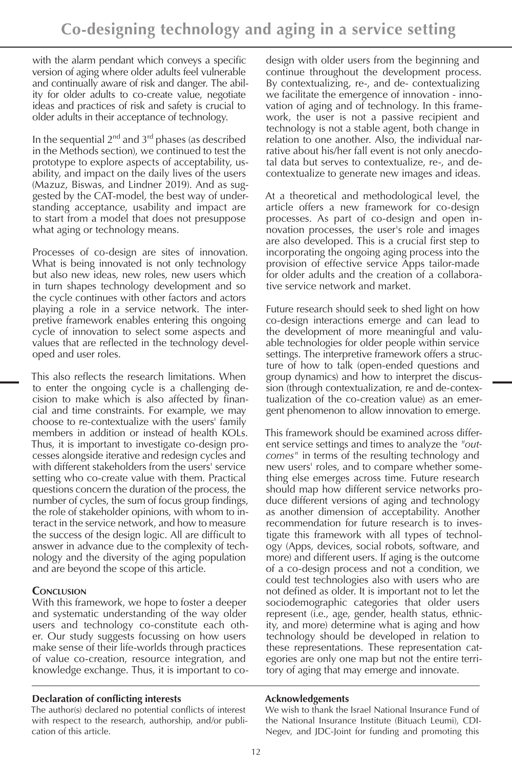with the alarm pendant which conveys a specific version of aging where older adults feel vulnerable and continually aware of risk and danger. The ability for older adults to co-create value, negotiate ideas and practices of risk and safety is crucial to older adults in their acceptance of technology.

In the sequential  $2^{nd}$  and  $3^{rd}$  phases (as described in the Methods section), we continued to test the prototype to explore aspects of acceptability, usability, and impact on the daily lives of the users (Mazuz, Biswas, and Lindner 2019). And as suggested by the CAT-model, the best way of understanding acceptance, usability and impact are to start from a model that does not presuppose what aging or technology means.

Processes of co-design are sites of innovation. What is being innovated is not only technology but also new ideas, new roles, new users which in turn shapes technology development and so the cycle continues with other factors and actors playing a role in a service network. The interpretive framework enables entering this ongoing cycle of innovation to select some aspects and values that are reflected in the technology developed and user roles.

This also reflects the research limitations. When to enter the ongoing cycle is a challenging decision to make which is also affected by financial and time constraints. For example, we may choose to re-contextualize with the users' family members in addition or instead of health KOLs. Thus, it is important to investigate co-design processes alongside iterative and redesign cycles and with different stakeholders from the users' service setting who co-create value with them. Practical questions concern the duration of the process, the number of cycles, the sum of focus group findings, the role of stakeholder opinions, with whom to interact in the service network, and how to measure the success of the design logic. All are difficult to answer in advance due to the complexity of technology and the diversity of the aging population and are beyond the scope of this article.

# **Conclusion**

With this framework, we hope to foster a deeper and systematic understanding of the way older users and technology co-constitute each other. Our study suggests focussing on how users make sense of their life-worlds through practices of value co-creation, resource integration, and knowledge exchange. Thus, it is important to co-

### **Declaration of conflicting interests**

The author(s) declared no potential conflicts of interest with respect to the research, authorship, and/or publication of this article.

design with older users from the beginning and continue throughout the development process. By contextualizing, re-, and de- contextualizing we facilitate the emergence of innovation - innovation of aging and of technology. In this framework, the user is not a passive recipient and technology is not a stable agent, both change in relation to one another. Also, the individual narrative about his/her fall event is not only anecdotal data but serves to contextualize, re-, and decontextualize to generate new images and ideas.

At a theoretical and methodological level, the article offers a new framework for co-design processes. As part of co-design and open innovation processes, the user's role and images are also developed. This is a crucial first step to incorporating the ongoing aging process into the provision of effective service Apps tailor-made for older adults and the creation of a collaborative service network and market.

Future research should seek to shed light on how co-design interactions emerge and can lead to the development of more meaningful and valuable technologies for older people within service settings. The interpretive framework offers a structure of how to talk (open-ended questions and group dynamics) and how to interpret the discussion (through contextualization, re and de-contextualization of the co-creation value) as an emergent phenomenon to allow innovation to emerge.

This framework should be examined across different service settings and times to analyze the *"outcomes"* in terms of the resulting technology and new users' roles, and to compare whether something else emerges across time. Future research should map how different service networks produce different versions of aging and technology as another dimension of acceptability. Another recommendation for future research is to investigate this framework with all types of technology (Apps, devices, social robots, software, and more) and different users. If aging is the outcome of a co-design process and not a condition, we could test technologies also with users who are not defined as older. It is important not to let the sociodemographic categories that older users represent (i.e., age, gender, health status, ethnicity, and more) determine what is aging and how technology should be developed in relation to these representations. These representation categories are only one map but not the entire territory of aging that may emerge and innovate.

### **Acknowledgements**

We wish to thank the Israel National Insurance Fund of the National Insurance Institute (Bituach Leumi), CDI-Negev, and JDC-Joint for funding and promoting this